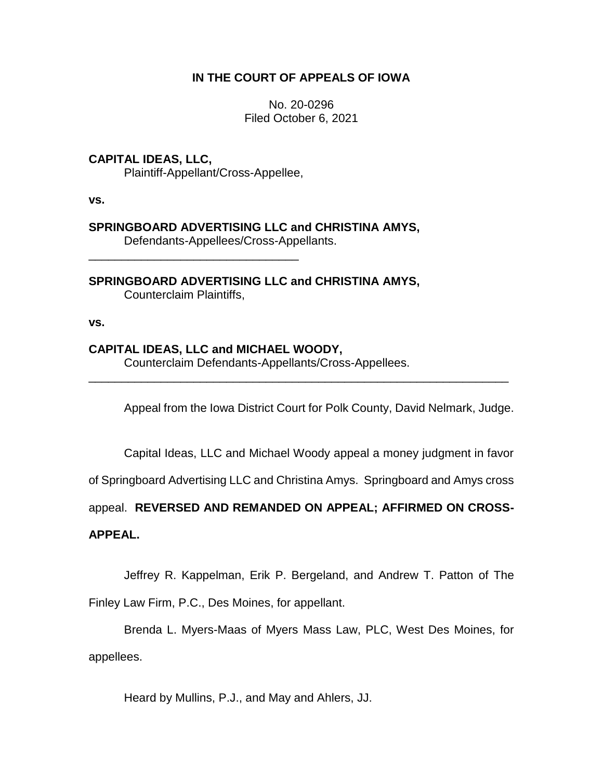# **IN THE COURT OF APPEALS OF IOWA**

No. 20-0296 Filed October 6, 2021

# **CAPITAL IDEAS, LLC,**

Plaintiff-Appellant/Cross-Appellee,

**vs.**

# **SPRINGBOARD ADVERTISING LLC and CHRISTINA AMYS,**

Defendants-Appellees/Cross-Appellants.

**SPRINGBOARD ADVERTISING LLC and CHRISTINA AMYS,** Counterclaim Plaintiffs,

\_\_\_\_\_\_\_\_\_\_\_\_\_\_\_\_\_\_\_\_\_\_\_\_\_\_\_\_\_\_\_\_

**vs.**

# **CAPITAL IDEAS, LLC and MICHAEL WOODY,**

Counterclaim Defendants-Appellants/Cross-Appellees.

Appeal from the Iowa District Court for Polk County, David Nelmark, Judge.

Capital Ideas, LLC and Michael Woody appeal a money judgment in favor

of Springboard Advertising LLC and Christina Amys. Springboard and Amys cross

\_\_\_\_\_\_\_\_\_\_\_\_\_\_\_\_\_\_\_\_\_\_\_\_\_\_\_\_\_\_\_\_\_\_\_\_\_\_\_\_\_\_\_\_\_\_\_\_\_\_\_\_\_\_\_\_\_\_\_\_\_\_\_\_

appeal. **REVERSED AND REMANDED ON APPEAL; AFFIRMED ON CROSS-**

## **APPEAL.**

Jeffrey R. Kappelman, Erik P. Bergeland, and Andrew T. Patton of The

Finley Law Firm, P.C., Des Moines, for appellant.

Brenda L. Myers-Maas of Myers Mass Law, PLC, West Des Moines, for appellees.

Heard by Mullins, P.J., and May and Ahlers, JJ.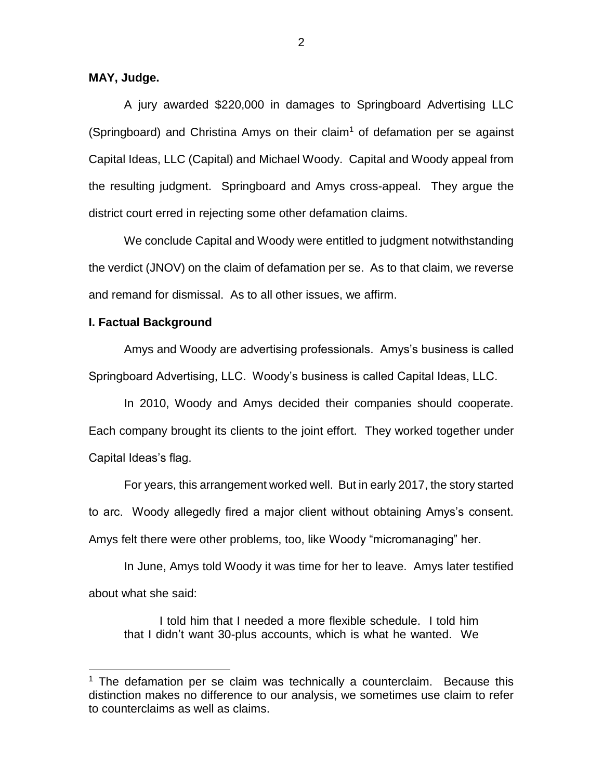## **MAY, Judge.**

A jury awarded \$220,000 in damages to Springboard Advertising LLC (Springboard) and Christina Amys on their claim<sup>1</sup> of defamation per se against Capital Ideas, LLC (Capital) and Michael Woody. Capital and Woody appeal from the resulting judgment. Springboard and Amys cross-appeal. They argue the district court erred in rejecting some other defamation claims.

We conclude Capital and Woody were entitled to judgment notwithstanding the verdict (JNOV) on the claim of defamation per se. As to that claim, we reverse and remand for dismissal. As to all other issues, we affirm.

#### **I. Factual Background**

 $\overline{a}$ 

Amys and Woody are advertising professionals. Amys's business is called Springboard Advertising, LLC. Woody's business is called Capital Ideas, LLC.

In 2010, Woody and Amys decided their companies should cooperate. Each company brought its clients to the joint effort. They worked together under Capital Ideas's flag.

For years, this arrangement worked well. But in early 2017, the story started to arc. Woody allegedly fired a major client without obtaining Amys's consent. Amys felt there were other problems, too, like Woody "micromanaging" her.

In June, Amys told Woody it was time for her to leave. Amys later testified about what she said:

I told him that I needed a more flexible schedule. I told him that I didn't want 30-plus accounts, which is what he wanted. We

 $1$  The defamation per se claim was technically a counterclaim. Because this distinction makes no difference to our analysis, we sometimes use claim to refer to counterclaims as well as claims.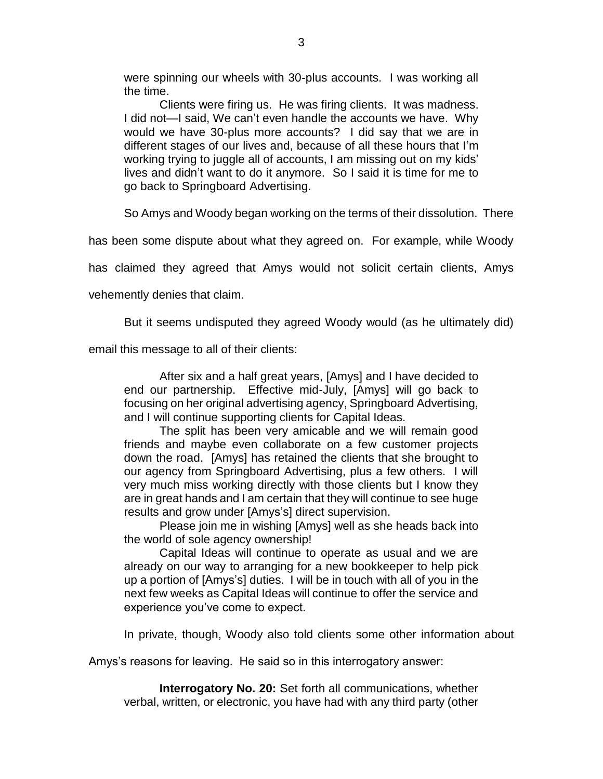were spinning our wheels with 30-plus accounts. I was working all the time.

Clients were firing us. He was firing clients. It was madness. I did not—I said, We can't even handle the accounts we have. Why would we have 30-plus more accounts? I did say that we are in different stages of our lives and, because of all these hours that I'm working trying to juggle all of accounts, I am missing out on my kids' lives and didn't want to do it anymore. So I said it is time for me to go back to Springboard Advertising.

So Amys and Woody began working on the terms of their dissolution. There

has been some dispute about what they agreed on. For example, while Woody

has claimed they agreed that Amys would not solicit certain clients, Amys

vehemently denies that claim.

But it seems undisputed they agreed Woody would (as he ultimately did)

email this message to all of their clients:

After six and a half great years, [Amys] and I have decided to end our partnership. Effective mid-July, [Amys] will go back to focusing on her original advertising agency, Springboard Advertising, and I will continue supporting clients for Capital Ideas.

The split has been very amicable and we will remain good friends and maybe even collaborate on a few customer projects down the road. [Amys] has retained the clients that she brought to our agency from Springboard Advertising, plus a few others. I will very much miss working directly with those clients but I know they are in great hands and I am certain that they will continue to see huge results and grow under [Amys's] direct supervision.

Please join me in wishing [Amys] well as she heads back into the world of sole agency ownership!

Capital Ideas will continue to operate as usual and we are already on our way to arranging for a new bookkeeper to help pick up a portion of [Amys's] duties. I will be in touch with all of you in the next few weeks as Capital Ideas will continue to offer the service and experience you've come to expect.

In private, though, Woody also told clients some other information about

Amys's reasons for leaving. He said so in this interrogatory answer:

**Interrogatory No. 20:** Set forth all communications, whether verbal, written, or electronic, you have had with any third party (other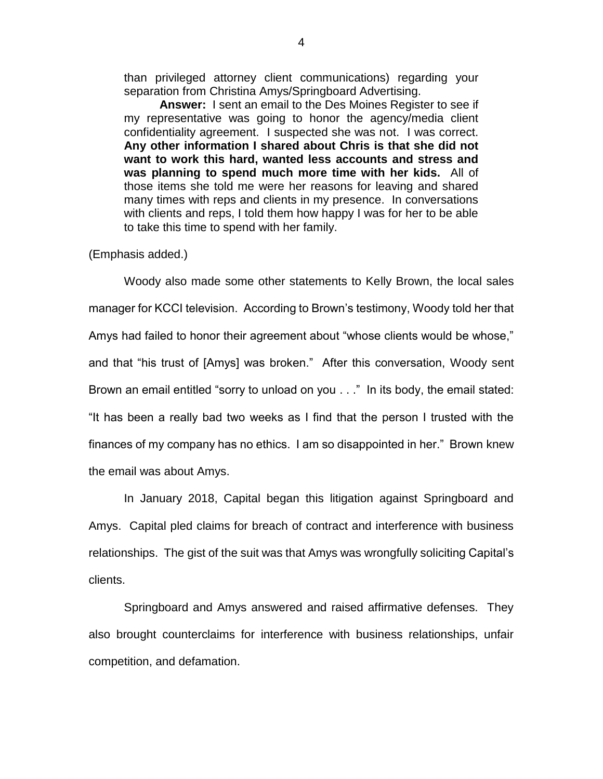than privileged attorney client communications) regarding your separation from Christina Amys/Springboard Advertising.

**Answer:** I sent an email to the Des Moines Register to see if my representative was going to honor the agency/media client confidentiality agreement. I suspected she was not. I was correct. **Any other information I shared about Chris is that she did not want to work this hard, wanted less accounts and stress and was planning to spend much more time with her kids.** All of those items she told me were her reasons for leaving and shared many times with reps and clients in my presence. In conversations with clients and reps, I told them how happy I was for her to be able to take this time to spend with her family.

(Emphasis added.)

Woody also made some other statements to Kelly Brown, the local sales manager for KCCI television. According to Brown's testimony, Woody told her that Amys had failed to honor their agreement about "whose clients would be whose," and that "his trust of [Amys] was broken." After this conversation, Woody sent Brown an email entitled "sorry to unload on you . . ." In its body, the email stated: "It has been a really bad two weeks as I find that the person I trusted with the finances of my company has no ethics. I am so disappointed in her." Brown knew the email was about Amys.

In January 2018, Capital began this litigation against Springboard and Amys. Capital pled claims for breach of contract and interference with business relationships. The gist of the suit was that Amys was wrongfully soliciting Capital's clients.

Springboard and Amys answered and raised affirmative defenses. They also brought counterclaims for interference with business relationships, unfair competition, and defamation.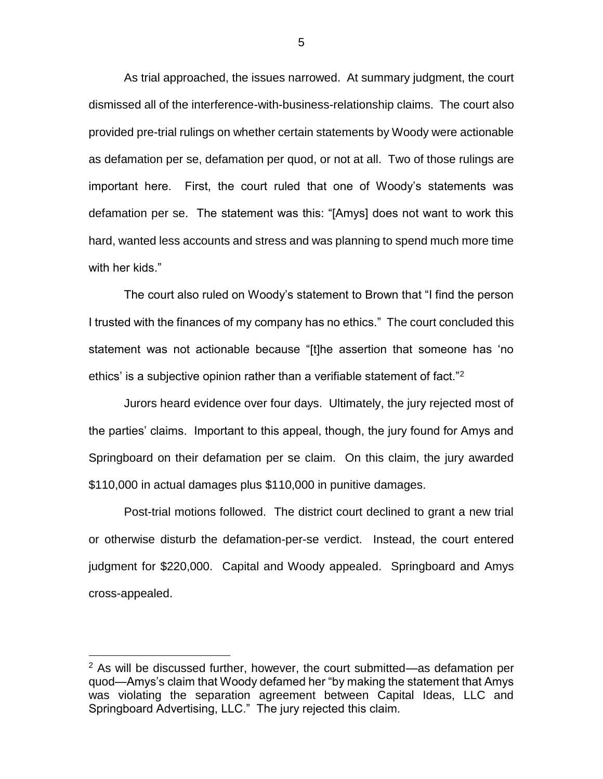As trial approached, the issues narrowed. At summary judgment, the court dismissed all of the interference-with-business-relationship claims. The court also provided pre-trial rulings on whether certain statements by Woody were actionable as defamation per se, defamation per quod, or not at all. Two of those rulings are important here. First, the court ruled that one of Woody's statements was defamation per se. The statement was this: "[Amys] does not want to work this hard, wanted less accounts and stress and was planning to spend much more time with her kids."

The court also ruled on Woody's statement to Brown that "I find the person I trusted with the finances of my company has no ethics." The court concluded this statement was not actionable because "[t]he assertion that someone has 'no ethics' is a subjective opinion rather than a verifiable statement of fact."<sup>2</sup>

Jurors heard evidence over four days. Ultimately, the jury rejected most of the parties' claims. Important to this appeal, though, the jury found for Amys and Springboard on their defamation per se claim. On this claim, the jury awarded \$110,000 in actual damages plus \$110,000 in punitive damages.

Post-trial motions followed. The district court declined to grant a new trial or otherwise disturb the defamation-per-se verdict. Instead, the court entered judgment for \$220,000. Capital and Woody appealed. Springboard and Amys cross-appealed.

 $\overline{a}$ 

 $2$  As will be discussed further, however, the court submitted—as defamation per quod—Amys's claim that Woody defamed her "by making the statement that Amys was violating the separation agreement between Capital Ideas, LLC and Springboard Advertising, LLC." The jury rejected this claim.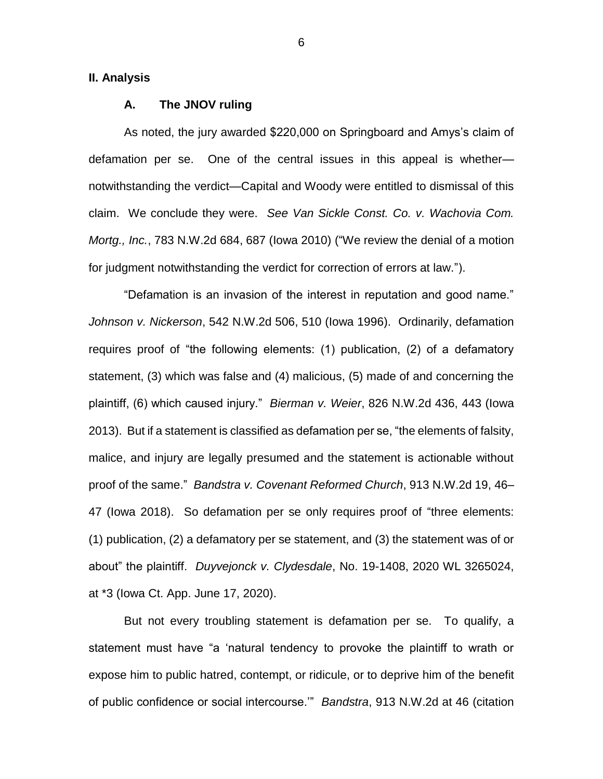**II. Analysis**

#### **A. The JNOV ruling**

As noted, the jury awarded \$220,000 on Springboard and Amys's claim of defamation per se. One of the central issues in this appeal is whether notwithstanding the verdict—Capital and Woody were entitled to dismissal of this claim. We conclude they were. *See Van Sickle Const. Co. v. Wachovia Com. Mortg., Inc.*, 783 N.W.2d 684, 687 (Iowa 2010) ("We review the denial of a motion for judgment notwithstanding the verdict for correction of errors at law.").

"Defamation is an invasion of the interest in reputation and good name." *Johnson v. Nickerson*, 542 N.W.2d 506, 510 (Iowa 1996). Ordinarily, defamation requires proof of "the following elements: (1) publication, (2) of a defamatory statement, (3) which was false and (4) malicious, (5) made of and concerning the plaintiff, (6) which caused injury." *Bierman v. Weier*, 826 N.W.2d 436, 443 (Iowa 2013). But if a statement is classified as defamation per se, "the elements of falsity, malice, and injury are legally presumed and the statement is actionable without proof of the same." *Bandstra v. Covenant Reformed Church*, 913 N.W.2d 19, 46– 47 (Iowa 2018). So defamation per se only requires proof of "three elements: (1) publication, (2) a defamatory per se statement, and (3) the statement was of or about" the plaintiff. *Duyvejonck v. Clydesdale*, No. 19-1408, 2020 WL 3265024, at \*3 (Iowa Ct. App. June 17, 2020).

But not every troubling statement is defamation per se. To qualify, a statement must have "a 'natural tendency to provoke the plaintiff to wrath or expose him to public hatred, contempt, or ridicule, or to deprive him of the benefit of public confidence or social intercourse.'" *Bandstra*, 913 N.W.2d at 46 (citation

6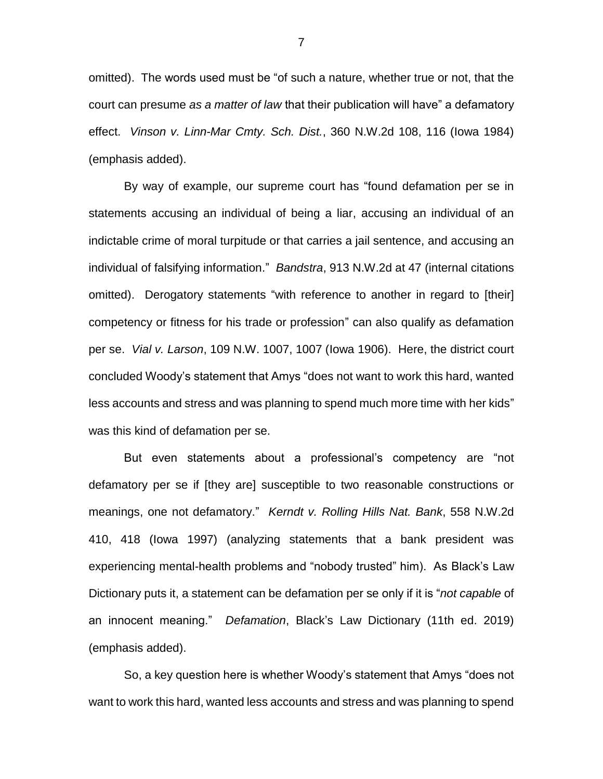omitted). The words used must be "of such a nature, whether true or not, that the court can presume *as a matter of law* that their publication will have" a defamatory effect. *Vinson v. Linn-Mar Cmty. Sch. Dist.*, 360 N.W.2d 108, 116 (Iowa 1984) (emphasis added).

By way of example, our supreme court has "found defamation per se in statements accusing an individual of being a liar, accusing an individual of an indictable crime of moral turpitude or that carries a jail sentence, and accusing an individual of falsifying information." *Bandstra*, 913 N.W.2d at 47 (internal citations omitted). Derogatory statements "with reference to another in regard to [their] competency or fitness for his trade or profession" can also qualify as defamation per se. *Vial v. Larson*, 109 N.W. 1007, 1007 (Iowa 1906). Here, the district court concluded Woody's statement that Amys "does not want to work this hard, wanted less accounts and stress and was planning to spend much more time with her kids" was this kind of defamation per se.

But even statements about a professional's competency are "not defamatory per se if [they are] susceptible to two reasonable constructions or meanings, one not defamatory." *Kerndt v. Rolling Hills Nat. Bank*, 558 N.W.2d 410, 418 (Iowa 1997) (analyzing statements that a bank president was experiencing mental-health problems and "nobody trusted" him). As Black's Law Dictionary puts it, a statement can be defamation per se only if it is "*not capable* of an innocent meaning." *Defamation*, Black's Law Dictionary (11th ed. 2019) (emphasis added).

So, a key question here is whether Woody's statement that Amys "does not want to work this hard, wanted less accounts and stress and was planning to spend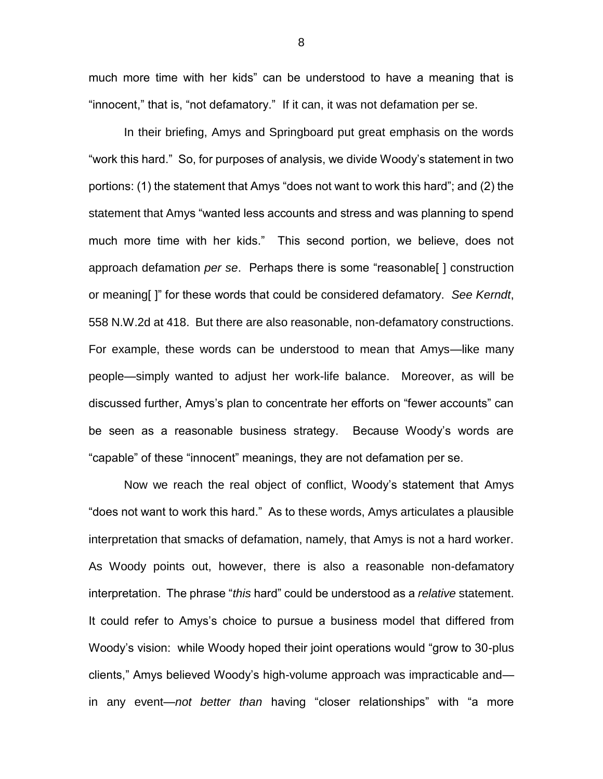much more time with her kids" can be understood to have a meaning that is "innocent," that is, "not defamatory." If it can, it was not defamation per se.

In their briefing, Amys and Springboard put great emphasis on the words "work this hard." So, for purposes of analysis, we divide Woody's statement in two portions: (1) the statement that Amys "does not want to work this hard"; and (2) the statement that Amys "wanted less accounts and stress and was planning to spend much more time with her kids." This second portion, we believe, does not approach defamation *per se*. Perhaps there is some "reasonable[ ] construction or meaning[ ]" for these words that could be considered defamatory. *See Kerndt*, 558 N.W.2d at 418. But there are also reasonable, non-defamatory constructions. For example, these words can be understood to mean that Amys—like many people—simply wanted to adjust her work-life balance. Moreover, as will be discussed further, Amys's plan to concentrate her efforts on "fewer accounts" can be seen as a reasonable business strategy. Because Woody's words are "capable" of these "innocent" meanings, they are not defamation per se.

Now we reach the real object of conflict, Woody's statement that Amys "does not want to work this hard." As to these words, Amys articulates a plausible interpretation that smacks of defamation, namely, that Amys is not a hard worker. As Woody points out, however, there is also a reasonable non-defamatory interpretation. The phrase "*this* hard" could be understood as a *relative* statement. It could refer to Amys's choice to pursue a business model that differed from Woody's vision: while Woody hoped their joint operations would "grow to 30-plus clients," Amys believed Woody's high-volume approach was impracticable and in any event—*not better than* having "closer relationships" with "a more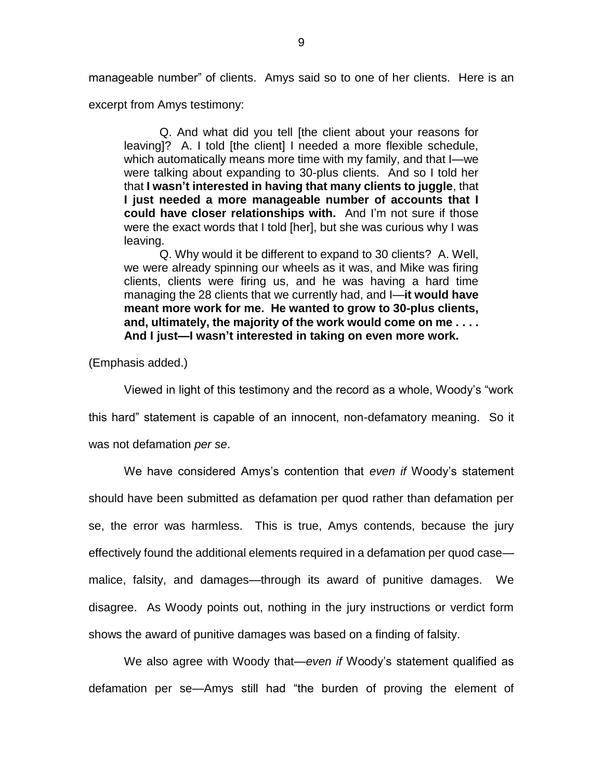manageable number" of clients. Amys said so to one of her clients. Here is an

excerpt from Amys testimony:

Q. And what did you tell [the client about your reasons for leaving]? A. I told [the client] I needed a more flexible schedule, which automatically means more time with my family, and that I—we were talking about expanding to 30-plus clients. And so I told her that **I wasn't interested in having that many clients to juggle**, that **I just needed a more manageable number of accounts that I could have closer relationships with.** And I'm not sure if those were the exact words that I told [her], but she was curious why I was leaving.

Q. Why would it be different to expand to 30 clients? A. Well, we were already spinning our wheels as it was, and Mike was firing clients, clients were firing us, and he was having a hard time managing the 28 clients that we currently had, and I—**it would have meant more work for me. He wanted to grow to 30-plus clients, and, ultimately, the majority of the work would come on me . . . . And I just—I wasn't interested in taking on even more work.**

(Emphasis added.)

Viewed in light of this testimony and the record as a whole, Woody's "work this hard" statement is capable of an innocent, non-defamatory meaning. So it was not defamation *per se*.

We have considered Amys's contention that *even if* Woody's statement should have been submitted as defamation per quod rather than defamation per se, the error was harmless. This is true, Amys contends, because the jury effectively found the additional elements required in a defamation per quod case malice, falsity, and damages—through its award of punitive damages. We disagree. As Woody points out, nothing in the jury instructions or verdict form shows the award of punitive damages was based on a finding of falsity.

We also agree with Woody that—*even if* Woody's statement qualified as defamation per se—Amys still had "the burden of proving the element of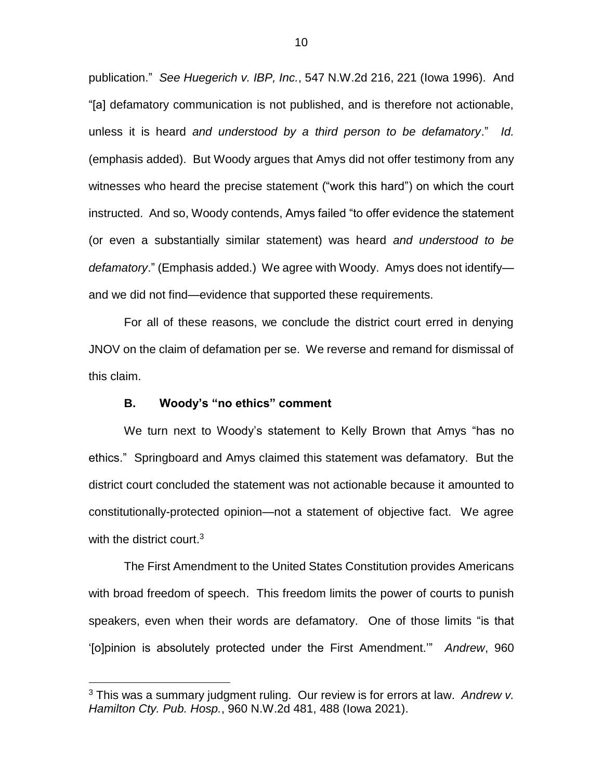publication." *See Huegerich v. IBP, Inc.*, 547 N.W.2d 216, 221 (Iowa 1996). And "[a] defamatory communication is not published, and is therefore not actionable, unless it is heard *and understood by a third person to be defamatory*." *Id.* (emphasis added). But Woody argues that Amys did not offer testimony from any witnesses who heard the precise statement ("work this hard") on which the court instructed. And so, Woody contends, Amys failed "to offer evidence the statement (or even a substantially similar statement) was heard *and understood to be defamatory*." (Emphasis added.) We agree with Woody. Amys does not identify and we did not find—evidence that supported these requirements.

For all of these reasons, we conclude the district court erred in denying JNOV on the claim of defamation per se. We reverse and remand for dismissal of this claim.

## **B. Woody's "no ethics" comment**

 $\overline{a}$ 

We turn next to Woody's statement to Kelly Brown that Amys "has no ethics." Springboard and Amys claimed this statement was defamatory. But the district court concluded the statement was not actionable because it amounted to constitutionally-protected opinion—not a statement of objective fact. We agree with the district court.<sup>3</sup>

The First Amendment to the United States Constitution provides Americans with broad freedom of speech. This freedom limits the power of courts to punish speakers, even when their words are defamatory. One of those limits "is that '[o]pinion is absolutely protected under the First Amendment.'" *Andrew*, 960

<sup>3</sup> This was a summary judgment ruling. Our review is for errors at law. *Andrew v. Hamilton Cty. Pub. Hosp.*, 960 N.W.2d 481, 488 (Iowa 2021).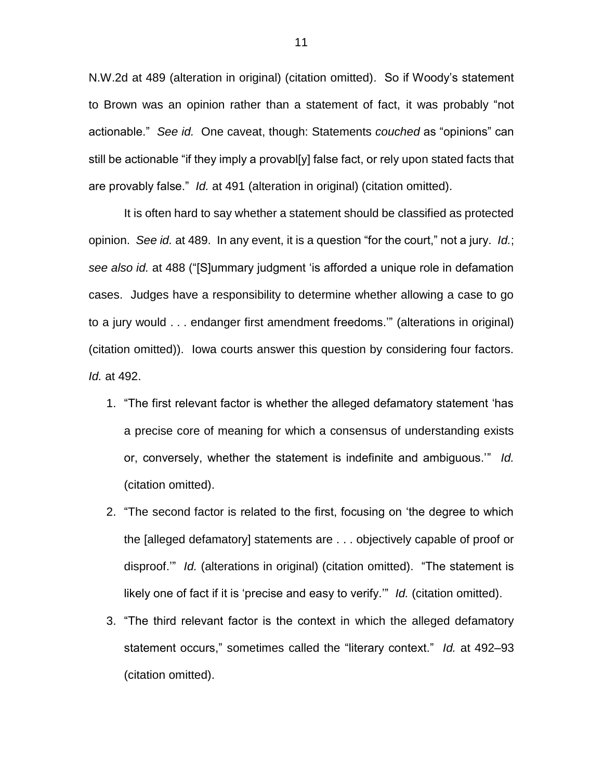N.W.2d at 489 (alteration in original) (citation omitted). So if Woody's statement to Brown was an opinion rather than a statement of fact, it was probably "not actionable." *See id.* One caveat, though: Statements *couched* as "opinions" can still be actionable "if they imply a provabl[y] false fact, or rely upon stated facts that are provably false." *Id.* at 491 (alteration in original) (citation omitted).

It is often hard to say whether a statement should be classified as protected opinion. *See id.* at 489. In any event, it is a question "for the court," not a jury. *Id.*; *see also id.* at 488 ("[S]ummary judgment 'is afforded a unique role in defamation cases. Judges have a responsibility to determine whether allowing a case to go to a jury would . . . endanger first amendment freedoms.'" (alterations in original) (citation omitted)). Iowa courts answer this question by considering four factors. *Id.* at 492.

- 1. "The first relevant factor is whether the alleged defamatory statement 'has a precise core of meaning for which a consensus of understanding exists or, conversely, whether the statement is indefinite and ambiguous.'" *Id.*  (citation omitted).
- 2. "The second factor is related to the first, focusing on 'the degree to which the [alleged defamatory] statements are . . . objectively capable of proof or disproof.'" *Id.* (alterations in original) (citation omitted). "The statement is likely one of fact if it is 'precise and easy to verify.'" *Id.* (citation omitted).
- 3. "The third relevant factor is the context in which the alleged defamatory statement occurs," sometimes called the "literary context." *Id.* at 492–93 (citation omitted).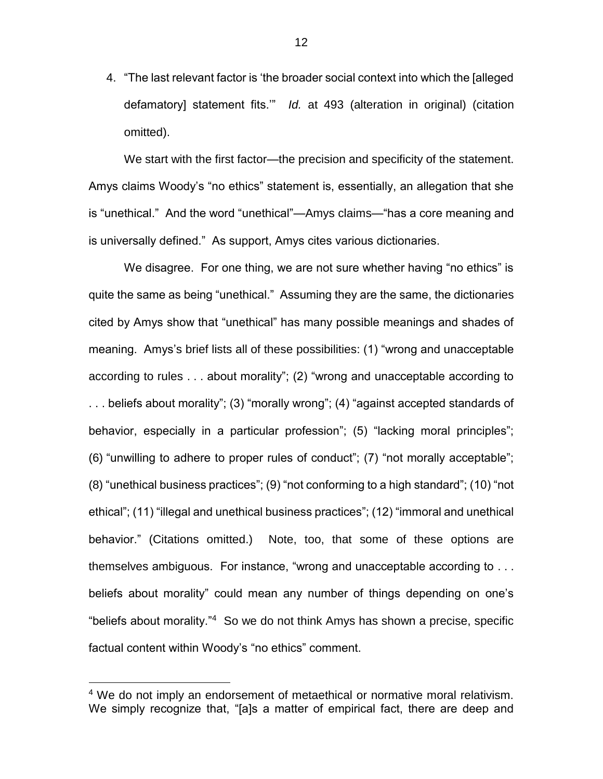4. "The last relevant factor is 'the broader social context into which the [alleged defamatory] statement fits.'" *Id.* at 493 (alteration in original) (citation omitted).

We start with the first factor—the precision and specificity of the statement. Amys claims Woody's "no ethics" statement is, essentially, an allegation that she is "unethical." And the word "unethical"—Amys claims—"has a core meaning and is universally defined." As support, Amys cites various dictionaries.

We disagree. For one thing, we are not sure whether having "no ethics" is quite the same as being "unethical." Assuming they are the same, the dictionaries cited by Amys show that "unethical" has many possible meanings and shades of meaning. Amys's brief lists all of these possibilities: (1) "wrong and unacceptable according to rules . . . about morality"; (2) "wrong and unacceptable according to . . . beliefs about morality"; (3) "morally wrong"; (4) "against accepted standards of behavior, especially in a particular profession"; (5) "lacking moral principles"; (6) "unwilling to adhere to proper rules of conduct"; (7) "not morally acceptable"; (8) "unethical business practices"; (9) "not conforming to a high standard"; (10) "not ethical"; (11) "illegal and unethical business practices"; (12) "immoral and unethical behavior." (Citations omitted.) Note, too, that some of these options are themselves ambiguous. For instance, "wrong and unacceptable according to . . . beliefs about morality" could mean any number of things depending on one's "beliefs about morality."<sup>4</sup> So we do not think Amys has shown a precise, specific factual content within Woody's "no ethics" comment.

 $\overline{a}$ 

12

<sup>&</sup>lt;sup>4</sup> We do not imply an endorsement of metaethical or normative moral relativism. We simply recognize that, "[a]s a matter of empirical fact, there are deep and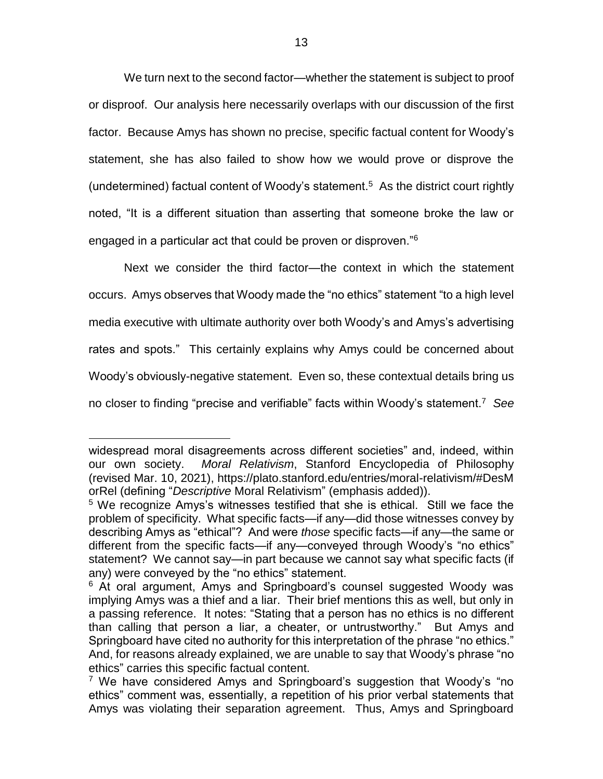We turn next to the second factor—whether the statement is subject to proof or disproof. Our analysis here necessarily overlaps with our discussion of the first factor. Because Amys has shown no precise, specific factual content for Woody's statement, she has also failed to show how we would prove or disprove the (undetermined) factual content of Woody's statement.<sup>5</sup> As the district court rightly noted, "It is a different situation than asserting that someone broke the law or engaged in a particular act that could be proven or disproven."<sup>6</sup>

Next we consider the third factor—the context in which the statement occurs. Amys observes that Woody made the "no ethics" statement "to a high level media executive with ultimate authority over both Woody's and Amys's advertising rates and spots." This certainly explains why Amys could be concerned about Woody's obviously-negative statement. Even so, these contextual details bring us no closer to finding "precise and verifiable" facts within Woody's statement.<sup>7</sup> *See* 

 $\overline{a}$ 

widespread moral disagreements across different societies" and, indeed, within our own society. *Moral Relativism*, Stanford Encyclopedia of Philosophy (revised Mar. 10, 2021), [https://plato.stanford.edu/entries/moral-relativism/#DesM](https://plato.stanford.edu/entries/moralrelativism/#DesMorRel) [orRel](https://plato.stanford.edu/entries/moralrelativism/#DesMorRel) (defining "*Descriptive* Moral Relativism" (emphasis added)).

<sup>5</sup> We recognize Amys's witnesses testified that she is ethical. Still we face the problem of specificity. What specific facts—if any—did those witnesses convey by describing Amys as "ethical"? And were *those* specific facts—if any—the same or different from the specific facts—if any—conveyed through Woody's "no ethics" statement? We cannot say—in part because we cannot say what specific facts (if any) were conveyed by the "no ethics" statement.

<sup>&</sup>lt;sup>6</sup> At oral argument, Amys and Springboard's counsel suggested Woody was implying Amys was a thief and a liar. Their brief mentions this as well, but only in a passing reference. It notes: "Stating that a person has no ethics is no different than calling that person a liar, a cheater, or untrustworthy." But Amys and Springboard have cited no authority for this interpretation of the phrase "no ethics." And, for reasons already explained, we are unable to say that Woody's phrase "no ethics" carries this specific factual content.

<sup>&</sup>lt;sup>7</sup> We have considered Amys and Springboard's suggestion that Woody's "no ethics" comment was, essentially, a repetition of his prior verbal statements that Amys was violating their separation agreement. Thus, Amys and Springboard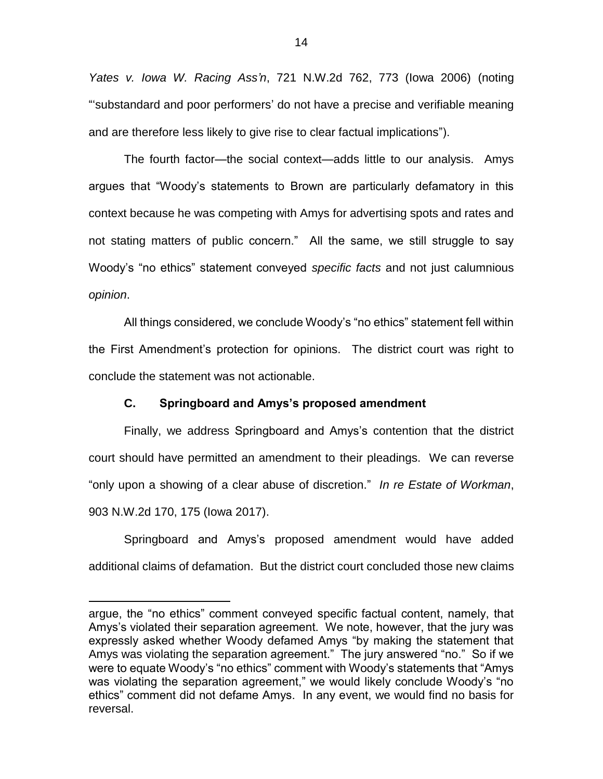*Yates v. Iowa W. Racing Ass'n*, 721 N.W.2d 762, 773 (Iowa 2006) (noting "'substandard and poor performers' do not have a precise and verifiable meaning and are therefore less likely to give rise to clear factual implications").

The fourth factor—the social context—adds little to our analysis. Amys argues that "Woody's statements to Brown are particularly defamatory in this context because he was competing with Amys for advertising spots and rates and not stating matters of public concern." All the same, we still struggle to say Woody's "no ethics" statement conveyed *specific facts* and not just calumnious *opinion*.

All things considered, we conclude Woody's "no ethics" statement fell within the First Amendment's protection for opinions. The district court was right to conclude the statement was not actionable.

## **C. Springboard and Amys's proposed amendment**

Finally, we address Springboard and Amys's contention that the district court should have permitted an amendment to their pleadings. We can reverse "only upon a showing of a clear abuse of discretion." *In re Estate of Workman*, 903 N.W.2d 170, 175 (Iowa 2017).

Springboard and Amys's proposed amendment would have added additional claims of defamation. But the district court concluded those new claims

 $\overline{a}$ 

argue, the "no ethics" comment conveyed specific factual content, namely, that Amys's violated their separation agreement. We note, however, that the jury was expressly asked whether Woody defamed Amys "by making the statement that Amys was violating the separation agreement." The jury answered "no." So if we were to equate Woody's "no ethics" comment with Woody's statements that "Amys was violating the separation agreement," we would likely conclude Woody's "no ethics" comment did not defame Amys. In any event, we would find no basis for reversal.